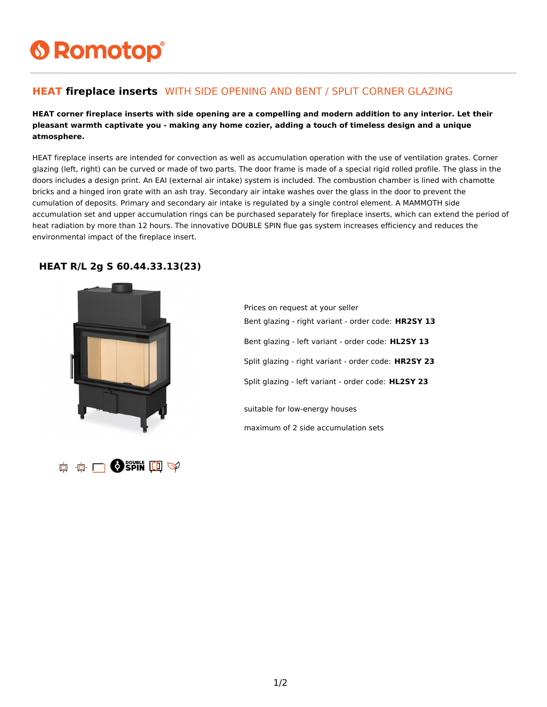# **6 Romotop®**

### **HEAT fireplace inserts** WITH SIDE OPENING AND BENT / SPLIT CORNER GLAZING

#### **HEAT corner fireplace inserts with side opening are a compelling and modern addition to any interior. Let their pleasant warmth captivate you - making any home cozier, adding a touch of timeless design and a unique atmosphere.**

HEAT fireplace inserts are intended for convection as well as accumulation operation with the use of ventilation grates. Corner glazing (left, right) can be curved or made of two parts. The door frame is made of a special rigid rolled profile. The glass in the doors includes a design print. An EAI (external air intake) system is included. The combustion chamber is lined with chamotte bricks and a hinged iron grate with an ash tray. Secondary air intake washes over the glass in the door to prevent the cumulation of deposits. Primary and secondary air intake is regulated by a single control element. A MAMMOTH side accumulation set and upper accumulation rings can be purchased separately for fireplace inserts, which can extend the period of heat radiation by more than 12 hours. The innovative DOUBLE SPIN flue gas system increases efficiency and reduces the environmental impact of the fireplace insert.

#### **HEAT R/L 2g S 60.44.33.13(23)**





Prices on request at your seller Bent glazing - right variant - order code: **HR2SY 13** Bent glazing - left variant - order code: **HL2SY 13** Split glazing - right variant - order code: **HR2SY 23** Split glazing - left variant - order code: **HL2SY 23** suitable for low-energy houses maximum of 2 side accumulation sets